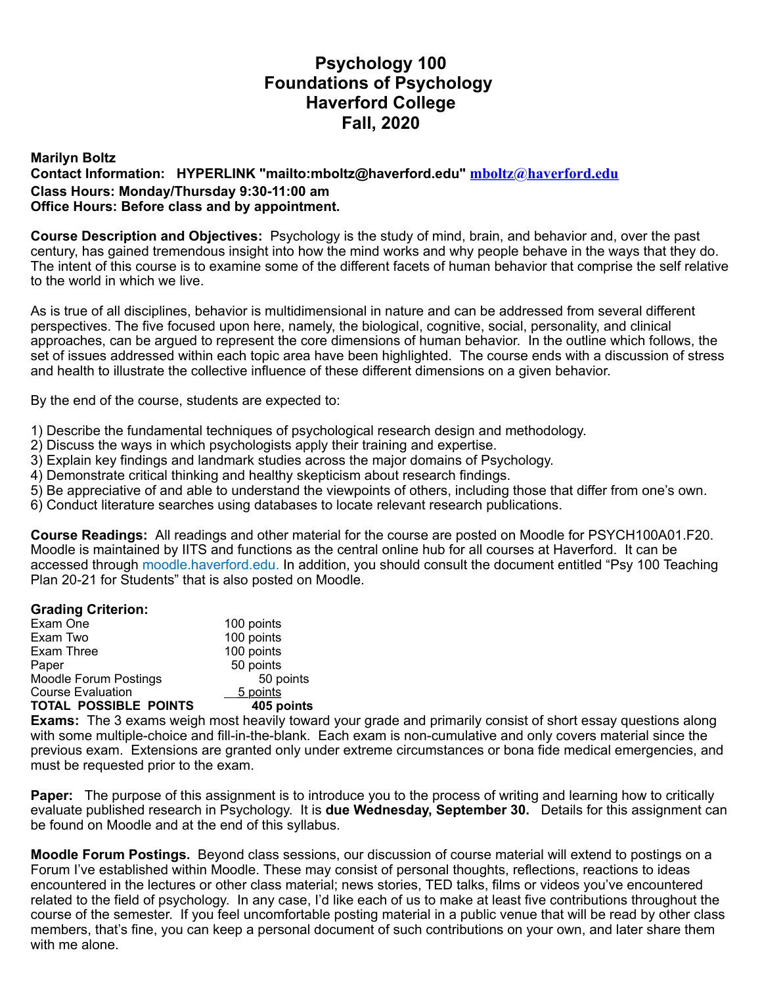# **Psychology 100 Foundations of Psychology Haverford College Fall, 2020**

## **Marilyn Boltz Contact Information: HYPERLINK "mailto:mboltz@haverford.edu" mboltz@haverford.edu Class Hours: Monday/Thursday 9:30-11:00 am Office Hours: Before class and by appointment.**

**Course Description and Objectives:** Psychology is the study of mind, brain, and behavior and, over the past century, has gained tremendous insight into how the mind works and why people behave in the ways that they do. The intent of this course is to examine some of the different facets of human behavior that comprise the self relative to the world in which we live.

As is true of all disciplines, behavior is multidimensional in nature and can be addressed from several different perspectives. The five focused upon here, namely, the biological, cognitive, social, personality, and clinical approaches, can be argued to represent the core dimensions of human behavior. In the outline which follows, the set of issues addressed within each topic area have been highlighted. The course ends with a discussion of stress and health to illustrate the collective influence of these different dimensions on a given behavior.

By the end of the course, students are expected to:

- 1) Describe the fundamental techniques of psychological research design and methodology.
- 2) Discuss the ways in which psychologists apply their training and expertise.
- 3) Explain key findings and landmark studies across the major domains of Psychology.
- 4) Demonstrate critical thinking and healthy skepticism about research findings.
- 5) Be appreciative of and able to understand the viewpoints of others, including those that differ from one's own.
- 6) Conduct literature searches using databases to locate relevant research publications.

**Course Readings:** All readings and other material for the course are posted on Moodle for PSYCH100A01.F20. Moodle is maintained by IITS and functions as the central online hub for all courses at Haverford. It can be accessed through moodle.haverford.edu. In addition, you should consult the document entitled "Psy 100 Teaching Plan 20-21 for Students" that is also posted on Moodle.

### **Grading Criterion:**

| Exam One                                              | 100 points |
|-------------------------------------------------------|------------|
| Exam Two                                              | 100 points |
| Exam Three                                            | 100 points |
| Paper                                                 | 50 points  |
| <b>Moodle Forum Postings</b>                          | 50 points  |
| <b>Course Evaluation</b>                              | 5 points   |
| <b>TOTAL POSSIBLE POINTS</b>                          | 405 points |
| Exercise The Oldingson website as eat he arithmetical |            |

**Exams:** The 3 exams weigh most heavily toward your grade and primarily consist of short essay questions along with some multiple-choice and fill-in-the-blank. Each exam is non-cumulative and only covers material since the previous exam. Extensions are granted only under extreme circumstances or bona fide medical emergencies, and must be requested prior to the exam.

**Paper:** The purpose of this assignment is to introduce you to the process of writing and learning how to critically evaluate published research in Psychology. It is **due Wednesday, September 30.** Details for this assignment can be found on Moodle and at the end of this syllabus.

**Moodle Forum Postings.** Beyond class sessions, our discussion of course material will extend to postings on a Forum I've established within Moodle. These may consist of personal thoughts, reflections, reactions to ideas encountered in the lectures or other class material; news stories, TED talks, films or videos you've encountered related to the field of psychology. In any case, I'd like each of us to make at least five contributions throughout the course of the semester. If you feel uncomfortable posting material in a public venue that will be read by other class members, that's fine, you can keep a personal document of such contributions on your own, and later share them with me alone.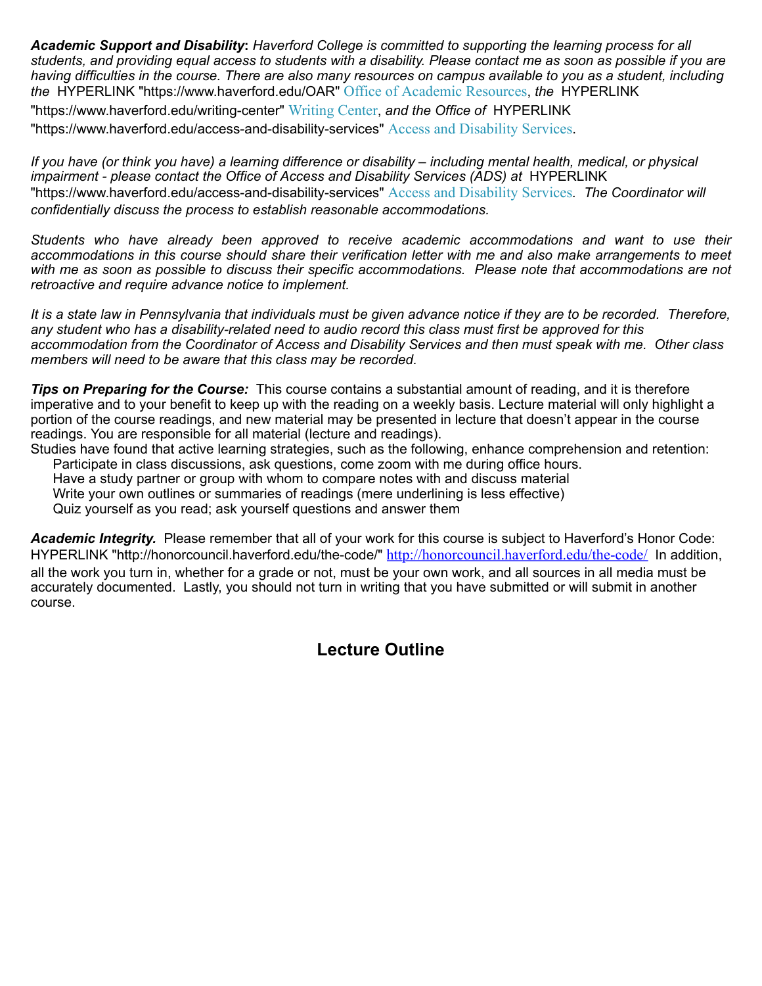*Academic Support and Disability***:** *Haverford College is committed to supporting the learning process for all students, and providing equal access to students with a disability. Please contact me as soon as possible if you are having difficulties in the course. There are also many resources on campus available to you as a student, including the* HYPERLINK "https://www.haverford.edu/OAR" Office of Academic Resources, *the* HYPERLINK "https://www.haverford.edu/writing-center" Writing Center, *and the Office of* HYPERLINK "https://www.haverford.edu/access-and-disability-services" Access and Disability Services.

*If you have (or think you have) a learning difference or disability – including mental health, medical, or physical impairment - please contact the Office of Access and Disability Services (ADS) at* HYPERLINK "https://www.haverford.edu/access-and-disability-services" Access and Disability Services*. The Coordinator will confidentially discuss the process to establish reasonable accommodations.* 

*Students who have already been approved to receive academic accommodations and want to use their accommodations in this course should share their verification letter with me and also make arrangements to meet with me as soon as possible to discuss their specific accommodations. Please note that accommodations are not retroactive and require advance notice to implement.*

*It is a state law in Pennsylvania that individuals must be given advance notice if they are to be recorded. Therefore, any student who has a disability-related need to audio record this class must first be approved for this accommodation from the Coordinator of Access and Disability Services and then must speak with me. Other class members will need to be aware that this class may be recorded.*

*Tips on Preparing for the Course:*This course contains a substantial amount of reading, and it is therefore imperative and to your benefit to keep up with the reading on a weekly basis. Lecture material will only highlight a portion of the course readings, and new material may be presented in lecture that doesn't appear in the course readings. You are responsible for all material (lecture and readings).

Studies have found that active learning strategies, such as the following, enhance comprehension and retention: Participate in class discussions, ask questions, come zoom with me during office hours. Have a study partner or group with whom to compare notes with and discuss material

Write your own outlines or summaries of readings (mere underlining is less effective)

Quiz yourself as you read; ask yourself questions and answer them

*Academic Integrity.* Please remember that all of your work for this course is subject to Haverford's Honor Code: HYPERLINK "http://honorcouncil.haverford.edu/the-code/" http://honorcouncil.haverford.edu/the-code/ In addition, all the work you turn in, whether for a grade or not, must be your own work, and all sources in all media must be accurately documented. Lastly, you should not turn in writing that you have submitted or will submit in another course.

# **Lecture Outline**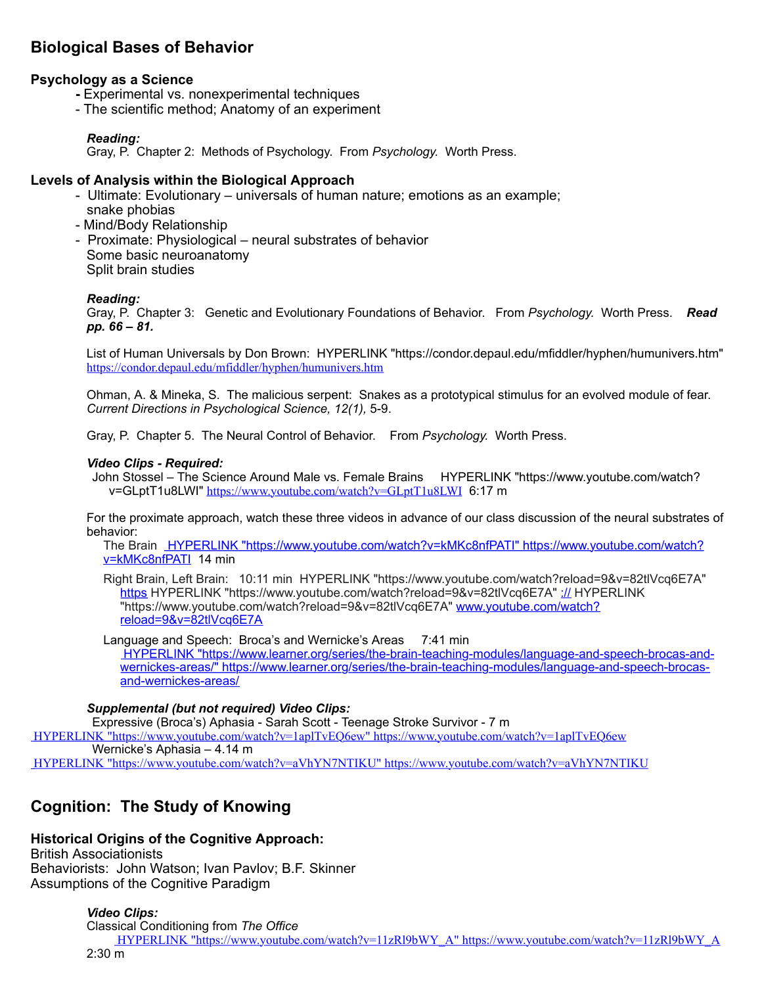## **Biological Bases of Behavior**

## **Psychology as a Science**

- Experimental vs. nonexperimental techniques
- The scientific method; Anatomy of an experiment

#### *Reading:*

Gray, P. Chapter 2: Methods of Psychology. From *Psychology.* Worth Press.

## **Levels of Analysis within the Biological Approach**

- Ultimate: Evolutionary universals of human nature; emotions as an example; snake phobias
- Mind/Body Relationship
- Proximate: Physiological neural substrates of behavior Some basic neuroanatomy Split brain studies

#### *Reading:*

Gray, P. Chapter 3: Genetic and Evolutionary Foundations of Behavior. From *Psychology.* Worth Press. *Read pp. 66 – 81.*

List of Human Universals by Don Brown: HYPERLINK "https://condor.depaul.edu/mfiddler/hyphen/humunivers.htm" https://condor.depaul.edu/mfiddler/hyphen/humunivers.htm

Ohman, A. & Mineka, S. The malicious serpent: Snakes as a prototypical stimulus for an evolved module of fear. *Current Directions in Psychological Science, 12(1),* 5-9.

Gray, P. Chapter 5. The Neural Control of Behavior. From *Psychology.* Worth Press.

#### *Video Clips - Required:*

John Stossel – The Science Around Male vs. Female Brains HYPERLINK "https://www.youtube.com/watch? v=GLptT1u8LWI" https://www.youtube.com/watch?v=GLptT1u8LWI 6:17 m

For the proximate approach, watch these three videos in advance of our class discussion of the neural substrates of behavior:

The Brain HYPERLINK "https://www.youtube.com/watch?v=kMKc8nfPATI" https://www.youtube.com/watch? v=kMKc8nfPATI 14 min

Right Brain, Left Brain: 10:11 min HYPERLINK "https://www.youtube.com/watch?reload=9&v=82tlVcq6E7A" https HYPERLINK "https://www.youtube.com/watch?reload=9&v=82tlVcq6E7A" :// HYPERLINK "https://www.youtube.com/watch?reload=9&v=82tlVcq6E7A" www.youtube.com/watch? reload=9&v=82tlVcq6E7A

Language and Speech: Broca's and Wernicke's Areas 7:41 min

HYPERLINK "https://www.learner.org/series/the-brain-teaching-modules/language-and-speech-brocas-andwernickes-areas/" https://www.learner.org/series/the-brain-teaching-modules/language-and-speech-brocasand-wernickes-areas/

#### *Supplemental (but not required) Video Clips:*

Expressive (Broca's) Aphasia - Sarah Scott - Teenage Stroke Survivor - 7 m

HYPERLINK "https://www.youtube.com/watch?v=1aplTvEQ6ew" https://www.youtube.com/watch?v=1aplTvEQ6ew Wernicke's Aphasia – 4.14 m

## HYPERLINK "https://www.youtube.com/watch?v=aVhYN7NTIKU" https://www.youtube.com/watch?v=aVhYN7NTIKU

## **Cognition: The Study of Knowing**

## **Historical Origins of the Cognitive Approach:**

British Associationists Behaviorists: John Watson; Ivan Pavlov; B.F. Skinner Assumptions of the Cognitive Paradigm

> *Video Clips:* Classical Conditioning from *The Office* HYPERLINK "https://www.youtube.com/watch?v=11zRl9bWY\_A" https://www.youtube.com/watch?v=11zRl9bWY\_A 2:30 m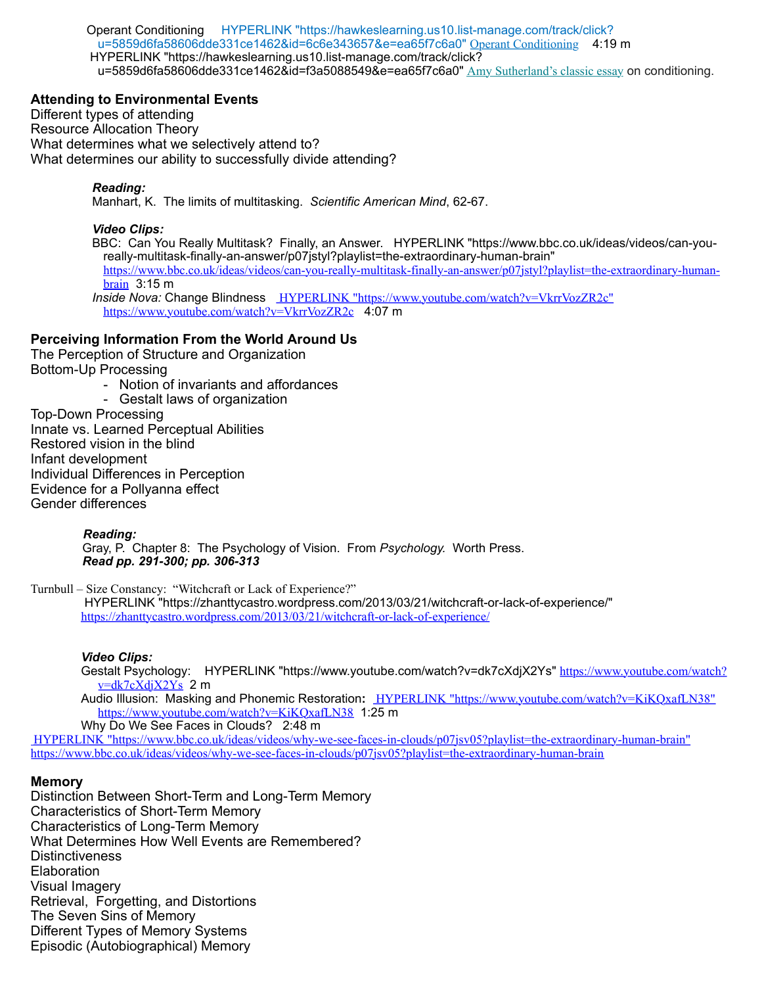Operant Conditioning HYPERLINK "https://hawkeslearning.us10.list-manage.com/track/click? u=5859d6fa58606dde331ce1462&id=6c6e343657&e=ea65f7c6a0" Operant Conditioning 4:19 m HYPERLINK "https://hawkeslearning.us10.list-manage.com/track/click? u=5859d6fa58606dde331ce1462&id=f3a5088549&e=ea65f7c6a0" Amy Sutherland's classic essay on conditioning.

#### **Attending to Environmental Events**

Different types of attending Resource Allocation Theory What determines what we selectively attend to? What determines our ability to successfully divide attending?

#### *Reading:*

Manhart, K. The limits of multitasking. *Scientific American Mind*, 62-67.

#### *Video Clips:*

BBC: Can You Really Multitask? Finally, an Answer. HYPERLINK "https://www.bbc.co.uk/ideas/videos/can-youreally-multitask-finally-an-answer/p07jstyl?playlist=the-extraordinary-human-brain" https://www.bbc.co.uk/ideas/videos/can-you-really-multitask-finally-an-answer/p07jstyl?playlist=the-extraordinary-human**brain** 3:15 m

*Inside Nova:* Change BlindnessHYPERLINK "https://www.youtube.com/watch?v=VkrrVozZR2c" https://www.youtube.com/watch?v=VkrrVozZR2c 4:07 m

#### **Perceiving Information From the World Around Us**

The Perception of Structure and Organization Bottom-Up Processing

- Notion of invariants and affordances
- Gestalt laws of organization Top-Down Processing Innate vs. Learned Perceptual Abilities Restored vision in the blind Infant development Individual Differences in Perception Evidence for a Pollyanna effect Gender differences

*Reading:*

 Gray, P. Chapter 8: The Psychology of Vision. From *Psychology.* Worth Press. *Read pp. 291-300; pp. 306-313*

Turnbull – Size Constancy: "Witchcraft or Lack of Experience?"

HYPERLINK "https://zhanttycastro.wordpress.com/2013/03/21/witchcraft-or-lack-of-experience/" https://zhanttycastro.wordpress.com/2013/03/21/witchcraft-or-lack-of-experience/

## *Video Clips:*

Gestalt Psychology: HYPERLINK "https://www.youtube.com/watch?v=dk7cXdjX2Ys" https://www.youtube.com/watch?  $v=dk7cXdjX2Ys$  2 m Audio Illusion: Masking and Phonemic Restoration**:** HYPERLINK "https://www.youtube.com/watch?v=KiKQxafLN38"

https://www.youtube.com/watch?v=KiKQxafLN38 1:25 m Why Do We See Faces in Clouds? 2:48 m

HYPERLINK "https://www.bbc.co.uk/ideas/videos/why-we-see-faces-in-clouds/p07jsv05?playlist=the-extraordinary-human-brain" https://www.bbc.co.uk/ideas/videos/why-we-see-faces-in-clouds/p07jsv05?playlist=the-extraordinary-human-brain

#### **Memory**

Distinction Between Short-Term and Long-Term Memory Characteristics of Short-Term Memory Characteristics of Long-Term Memory What Determines How Well Events are Remembered? **Distinctiveness Elaboration** Visual Imagery Retrieval, Forgetting, and Distortions The Seven Sins of Memory Different Types of Memory Systems Episodic (Autobiographical) Memory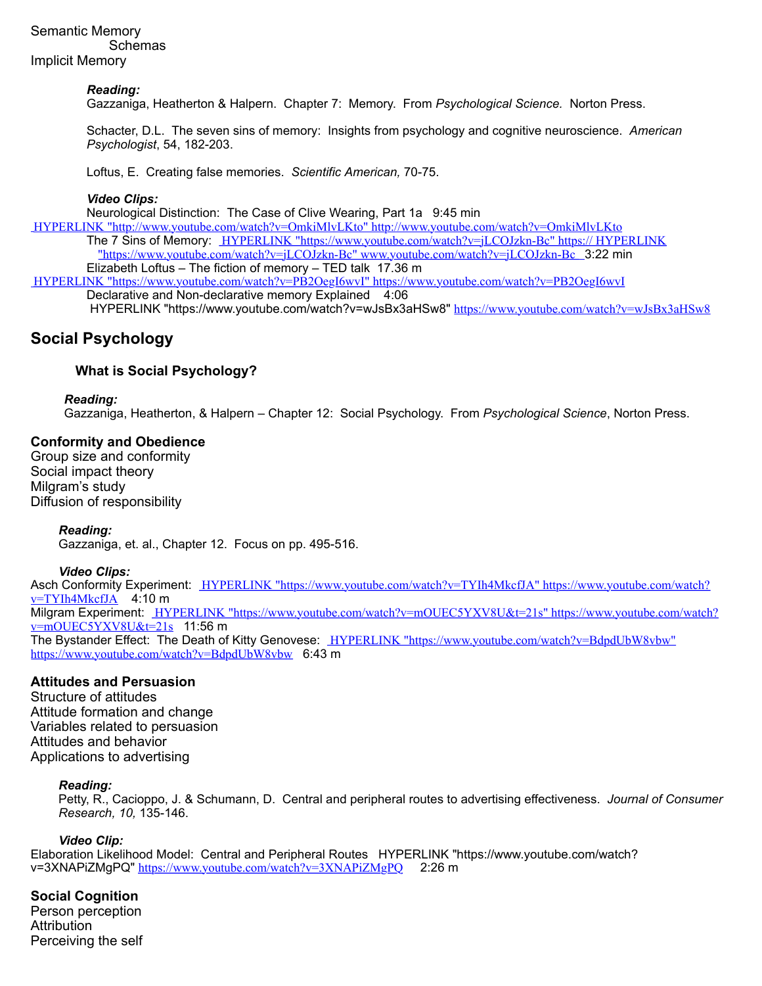## Semantic Memory Schemas Implicit Memory

#### *Reading:*

Gazzaniga, Heatherton & Halpern. Chapter 7: Memory. From *Psychological Science.* Norton Press.

Schacter, D.L. The seven sins of memory: Insights from psychology and cognitive neuroscience. *American Psychologist*, 54, 182-203.

Loftus, E. Creating false memories. *Scientific American,* 70-75.

#### *Video Clips:*

Neurological Distinction: The Case of Clive Wearing, Part 1a 9:45 min

HYPERLINK "http://www.youtube.com/watch?v=OmkiMlvLKto" http://www.youtube.com/watch?v=OmkiMlvLKto The 7 Sins of Memory: HYPERLINK "https://www.youtube.com/watch?v=jLCOJzkn-Bc" https:// HYPERLINK "https://www.youtube.com/watch?v=jLCOJzkn-Bc" www.youtube.com/watch?v=jLCOJzkn-Bc 3:22 min Elizabeth Loftus – The fiction of memory – TED talk 17.36 m

HYPERLINK "https://www.youtube.com/watch?v=PB2OegI6wvI" https://www.youtube.com/watch?v=PB2OegI6wvI Declarative and Non-declarative memory Explained 4:06

HYPERLINK "https://www.youtube.com/watch?v=wJsBx3aHSw8" https://www.youtube.com/watch?v=wJsBx3aHSw8

## **Social Psychology**

## **What is Social Psychology?**

#### *Reading:*

Gazzaniga, Heatherton, & Halpern – Chapter 12: Social Psychology. From *Psychological Science*, Norton Press.

#### **Conformity and Obedience**

Group size and conformity Social impact theory Milgram's study Diffusion of responsibility

#### *Reading:*

Gazzaniga, et. al., Chapter 12. Focus on pp. 495-516.

#### *Video Clips:*

Asch Conformity Experiment: HYPERLINK "https://www.youtube.com/watch?v=TYIh4MkcfJA" https://www.youtube.com/watch?  $v = TYIh4MkcfJA$  4:10 m Milgram Experiment: HYPERLINK "https://www.youtube.com/watch?v=mOUEC5YXV8U&t=21s" https://www.youtube.com/watch? v=mOUEC5YXV8U&t=21s 11:56 m The Bystander Effect: The Death of Kitty Genovese: HYPERLINK "https://www.youtube.com/watch?v=BdpdUbW8vbw" https://www.youtube.com/watch?v=BdpdUbW8vbw 6:43 m

#### **Attitudes and Persuasion**

Structure of attitudes Attitude formation and change Variables related to persuasion Attitudes and behavior Applications to advertising

#### *Reading:*

Petty, R., Cacioppo, J. & Schumann, D. Central and peripheral routes to advertising effectiveness. *Journal of Consumer Research, 10,* 135-146.

#### *Video Clip:*

Elaboration Likelihood Model: Central and Peripheral Routes HYPERLINK "https://www.youtube.com/watch? v=3XNAPiZMgPQ" https://www.youtube.com/watch?v=3XNAPiZMgPQ 2:26 m

**Social Cognition** Person perception **Attribution** Perceiving the self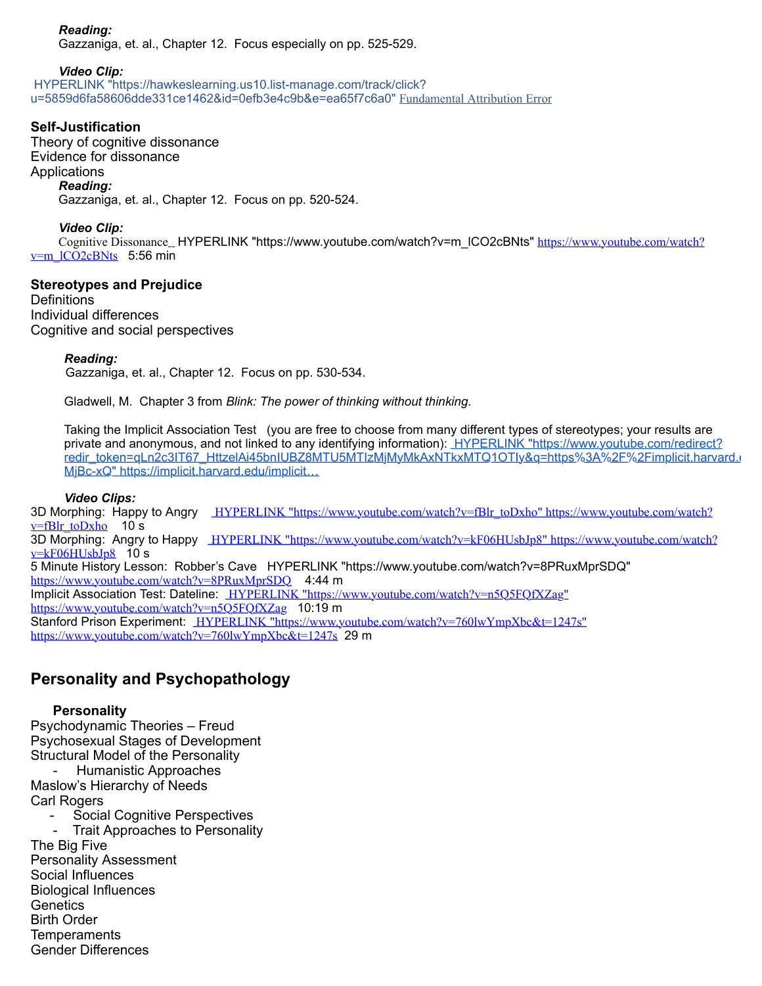## *Reading:*

Gazzaniga, et. al., Chapter 12. Focus especially on pp. 525-529.

*Video Clip:*

HYPERLINK "https://hawkeslearning.us10.list-manage.com/track/click? u=5859d6fa58606dde331ce1462&id=0efb3e4c9b&e=ea65f7c6a0" Fundamental Attribution Error

## **Self-Justification**

Theory of cognitive dissonance Evidence for dissonance **Applications** *Reading:* Gazzaniga, et. al., Chapter 12. Focus on pp. 520-524.

#### *Video Clip:*

Cognitive Dissonance\_HYPERLINK "https://www.youtube.com/watch?v=m\_lCO2cBNts" https://www.youtube.com/watch?  $v=m$   $ICO2cBNts$  5:56 min

### **Stereotypes and Prejudice**

**Definitions** Individual differences Cognitive and social perspectives

#### *Reading:*

Gazzaniga, et. al., Chapter 12. Focus on pp. 530-534.

Gladwell, M. Chapter 3 from *Blink: The power of thinking without thinking.*

Taking the Implicit Association Test (you are free to choose from many different types of stereotypes; your results are private and anonymous, and not linked to any identifying information): HYPERLINK "https://www.youtube.com/redirect? redir\_token=qLn2c3IT67\_HttzelAi45bnIUBZ8MTU5MTIzMjMyMkAxNTkxMTQ1OTIy&q=https%3A%2F%2Fimplicit.harvard.r MjBc-xQ" https://implicit.harvard.edu/implicit…

#### *Video Clips:*

3D Morphing: Happy to Angry HYPERLINK "https://www.youtube.com/watch?v=fBlr\_toDxho" https://www.youtube.com/watch?  $v=$ fBlr\_toDxho 10 s 3D Morphing: Angry to Happy HYPERLINK "https://www.youtube.com/watch?v=kF06HUsbJp8" https://www.youtube.com/watch?  $v=kF06HUsbJp8$  10 s 5 Minute History Lesson: Robber's Cave HYPERLINK "https://www.youtube.com/watch?v=8PRuxMprSDQ" https://www.youtube.com/watch?v=8PRuxMprSDQ 4:44 m Implicit Association Test: Dateline: HYPERLINK "https://www.youtube.com/watch?v=n5Q5FQfXZag" https://www.youtube.com/watch?v=n5Q5FQfXZag 10:19 m Stanford Prison Experiment: HYPERLINK "https://www.youtube.com/watch?v=760lwYmpXbc&t=1247s" https://www.youtube.com/watch?v=760lwYmpXbc&t=1247s 29 m

## **Personality and Psychopathology**

### **Personality**

Psychodynamic Theories – Freud Psychosexual Stages of Development Structural Model of the Personality - Humanistic Approaches Maslow's Hierarchy of Needs Carl Rogers Social Cognitive Perspectives Trait Approaches to Personality The Big Five Personality Assessment Social Influences Biological Influences **Genetics** Birth Order **Temperaments** 

Gender Differences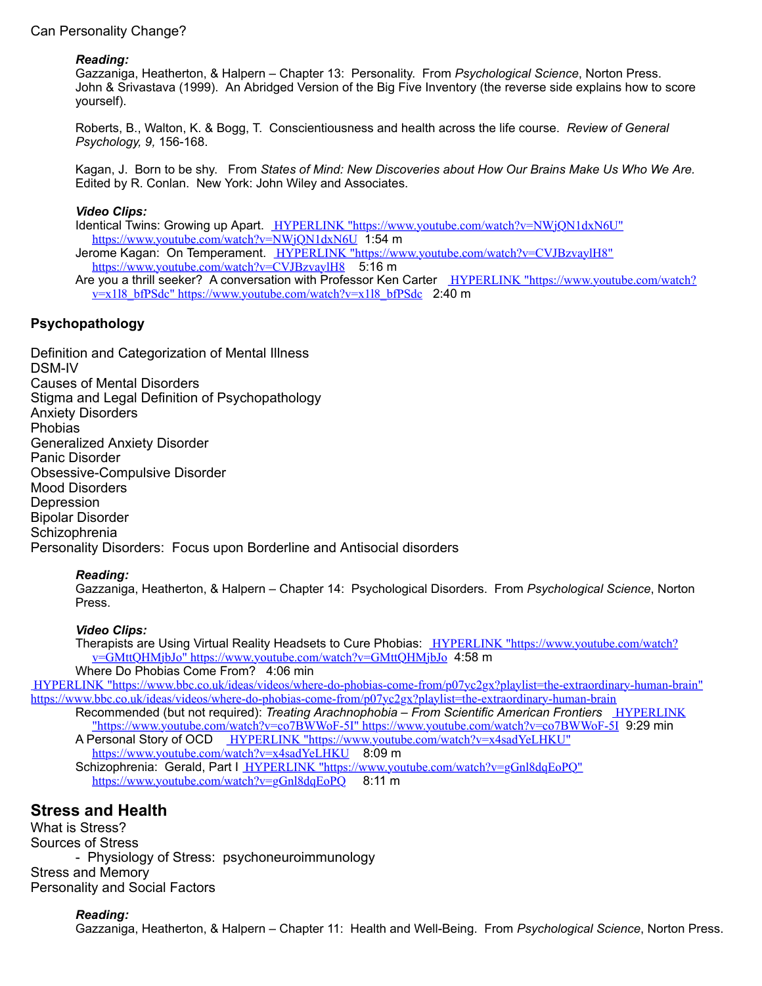## Can Personality Change?

#### *Reading:*

Gazzaniga, Heatherton, & Halpern – Chapter 13: Personality. From *Psychological Science*, Norton Press. John & Srivastava (1999). An Abridged Version of the Big Five Inventory (the reverse side explains how to score yourself).

Roberts, B., Walton, K. & Bogg, T. Conscientiousness and health across the life course. *Review of General Psychology, 9,* 156-168.

Kagan, J. Born to be shy. From *States of Mind: New Discoveries about How Our Brains Make Us Who We Are.* Edited by R. Conlan. New York: John Wiley and Associates.

#### *Video Clips:*

Identical Twins: Growing up Apart. HYPERLINK "https://www.youtube.com/watch?v=NWjQN1dxN6U" https://www.youtube.com/watch?v=NWjQN1dxN6U 1:54 m Jerome Kagan: On Temperament. HYPERLINK "https://www.youtube.com/watch?v=CVJBzvaylH8" https://www.youtube.com/watch?v=CVJBzvaylH8 5:16 m Are vou a thrill seeker? A conversation with Professor Ken Carter HYPERLINK "https://www.youtube.com/watch?  $v=x118$  bfPSdc" https://www.youtube.com/watch?v=x1l8 bfPSdc 2:40 m

## **Psychopathology**

Definition and Categorization of Mental Illness DSM-IV Causes of Mental Disorders Stigma and Legal Definition of Psychopathology Anxiety Disorders Phobias Generalized Anxiety Disorder Panic Disorder Obsessive-Compulsive Disorder Mood Disorders Depression Bipolar Disorder **Schizophrenia** Personality Disorders: Focus upon Borderline and Antisocial disorders

#### *Reading:*

Gazzaniga, Heatherton, & Halpern – Chapter 14: Psychological Disorders. From *Psychological Science*, Norton Press.

#### *Video Clips:*

Therapists are Using Virtual Reality Headsets to Cure Phobias: HYPERLINK "https://www.youtube.com/watch? v=GMttQHMjbJo" https://www.youtube.com/watch?v=GMttQHMjbJo 4:58 m Where Do Phobias Come From? 4:06 min

HYPERLINK "https://www.bbc.co.uk/ideas/videos/where-do-phobias-come-from/p07yc2gx?playlist=the-extraordinary-human-brain" https://www.bbc.co.uk/ideas/videos/where-do-phobias-come-from/p07yc2gx?playlist=the-extraordinary-human-brain Recommended (but not required): *Treating Arachnophobia – From Scientific American Frontiers* HYPERLINK

"https://www.youtube.com/watch?v=co7BWWoF-5I" https://www.youtube.com/watch?v=co7BWWoF-5I 9:29 min A Personal Story of OCD HYPERLINK "https://www.youtube.com/watch?v=x4sadYeLHKU" https://www.youtube.com/watch?v=x4sadYeLHKU 8:09 m Schizophrenia: Gerald, Part I HYPERLINK "https://www.youtube.com/watch?v=gGnl8dqEoPQ" https://www.youtube.com/watch?v=gGnl8dqEoPQ 8:11 m

## **Stress and Health**

What is Stress? Sources of Stress - Physiology of Stress: psychoneuroimmunology Stress and Memory Personality and Social Factors

### *Reading:*

Gazzaniga, Heatherton, & Halpern – Chapter 11: Health and Well-Being. From *Psychological Science*, Norton Press.